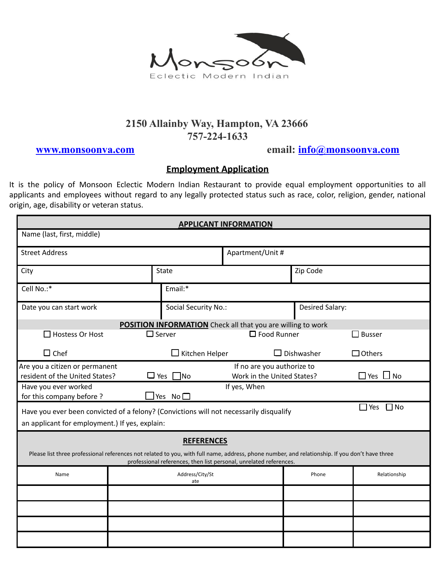

## **2150 Allainby Way, Hampton, VA 23666 757-224-1633**

**[www.monsoonva.com](http://www.monsoonva.com) email: [info@monsoonva.com](mailto:info@monsoonva.com)**

## **Employment Application**

It is the policy of Monsoon Eclectic Modern Indian Restaurant to provide equal employment opportunities to all applicants and employees without regard to any legally protected status such as race, color, religion, gender, national origin, age, disability or veteran status.

| <b>APPLICANT INFORMATION</b>                                                                                                                                                                                         |              |                        |                                        |                   |               |  |  |
|----------------------------------------------------------------------------------------------------------------------------------------------------------------------------------------------------------------------|--------------|------------------------|----------------------------------------|-------------------|---------------|--|--|
| Name (last, first, middle)                                                                                                                                                                                           |              |                        |                                        |                   |               |  |  |
| <b>Street Address</b>                                                                                                                                                                                                |              |                        | Apartment/Unit #                       |                   |               |  |  |
| City                                                                                                                                                                                                                 | <b>State</b> |                        |                                        | Zip Code          |               |  |  |
| Email:*<br>Cell No.:*                                                                                                                                                                                                |              |                        |                                        |                   |               |  |  |
| Date you can start work                                                                                                                                                                                              |              | Social Security No.:   |                                        | Desired Salary:   |               |  |  |
| <b>POSITION INFORMATION</b> Check all that you are willing to work                                                                                                                                                   |              |                        |                                        |                   |               |  |  |
| $\square$ Server<br>$\Box$ Hostess Or Host                                                                                                                                                                           |              |                        | $\square$ Food Runner<br>$\Box$ Busser |                   |               |  |  |
| $\Box$ Chef                                                                                                                                                                                                          |              | $\Box$ Kitchen Helper  |                                        | $\Box$ Dishwasher | $\Box$ Others |  |  |
| Are you a citizen or permanent<br>If no are you authorize to<br>resident of the United States?<br>$\Box$ Yes $\Box$ No<br>$\square$ Yes<br>$\Box$ No<br>Work in the United States?                                   |              |                        |                                        |                   |               |  |  |
| If yes, When<br>Have you ever worked<br>for this company before ?<br>$\Box$ Yes No $\Box$                                                                                                                            |              |                        |                                        |                   |               |  |  |
| $\Box$ Yes $\Box$ No<br>Have you ever been convicted of a felony? (Convictions will not necessarily disqualify<br>an applicant for employment.) If yes, explain:                                                     |              |                        |                                        |                   |               |  |  |
| <b>REFERENCES</b>                                                                                                                                                                                                    |              |                        |                                        |                   |               |  |  |
| Please list three professional references not related to you, with full name, address, phone number, and relationship. If you don't have three<br>professional references, then list personal, unrelated references. |              |                        |                                        |                   |               |  |  |
| Name                                                                                                                                                                                                                 |              | Address/City/St<br>ate |                                        | Phone             | Relationship  |  |  |
|                                                                                                                                                                                                                      |              |                        |                                        |                   |               |  |  |
|                                                                                                                                                                                                                      |              |                        |                                        |                   |               |  |  |
|                                                                                                                                                                                                                      |              |                        |                                        |                   |               |  |  |
|                                                                                                                                                                                                                      |              |                        |                                        |                   |               |  |  |